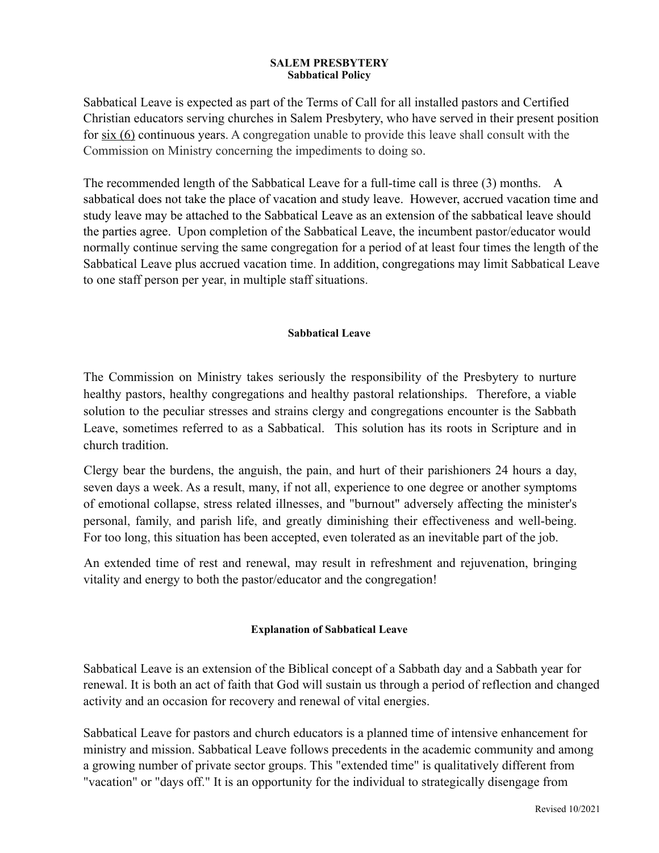#### **SALEM PRESBYTERY Sabbatical Policy**

Sabbatical Leave is expected as part of the Terms of Call for all installed pastors and Certified Christian educators serving churches in Salem Presbytery, who have served in their present position for six (6) continuous years. A congregation unable to provide this leave shall consult with the Commission on Ministry concerning the impediments to doing so.

The recommended length of the Sabbatical Leave for a full-time call is three (3) months. A sabbatical does not take the place of vacation and study leave. However, accrued vacation time and study leave may be attached to the Sabbatical Leave as an extension of the sabbatical leave should the parties agree. Upon completion of the Sabbatical Leave, the incumbent pastor/educator would normally continue serving the same congregation for a period of at least four times the length of the Sabbatical Leave plus accrued vacation time. In addition, congregations may limit Sabbatical Leave to one staff person per year, in multiple staff situations.

### **Sabbatical Leave**

The Commission on Ministry takes seriously the responsibility of the Presbytery to nurture healthy pastors, healthy congregations and healthy pastoral relationships. Therefore, a viable solution to the peculiar stresses and strains clergy and congregations encounter is the Sabbath Leave, sometimes referred to as a Sabbatical. This solution has its roots in Scripture and in church tradition.

Clergy bear the burdens, the anguish, the pain, and hurt of their parishioners 24 hours a day, seven days a week. As a result, many, if not all, experience to one degree or another symptoms of emotional collapse, stress related illnesses, and "burnout" adversely affecting the minister's personal, family, and parish life, and greatly diminishing their effectiveness and well-being. For too long, this situation has been accepted, even tolerated as an inevitable part of the job.

An extended time of rest and renewal, may result in refreshment and rejuvenation, bringing vitality and energy to both the pastor/educator and the congregation!

## **Explanation of Sabbatical Leave**

Sabbatical Leave is an extension of the Biblical concept of a Sabbath day and a Sabbath year for renewal. It is both an act of faith that God will sustain us through a period of reflection and changed activity and an occasion for recovery and renewal of vital energies.

Sabbatical Leave for pastors and church educators is a planned time of intensive enhancement for ministry and mission. Sabbatical Leave follows precedents in the academic community and among a growing number of private sector groups. This "extended time" is qualitatively different from "vacation" or "days off." It is an opportunity for the individual to strategically disengage from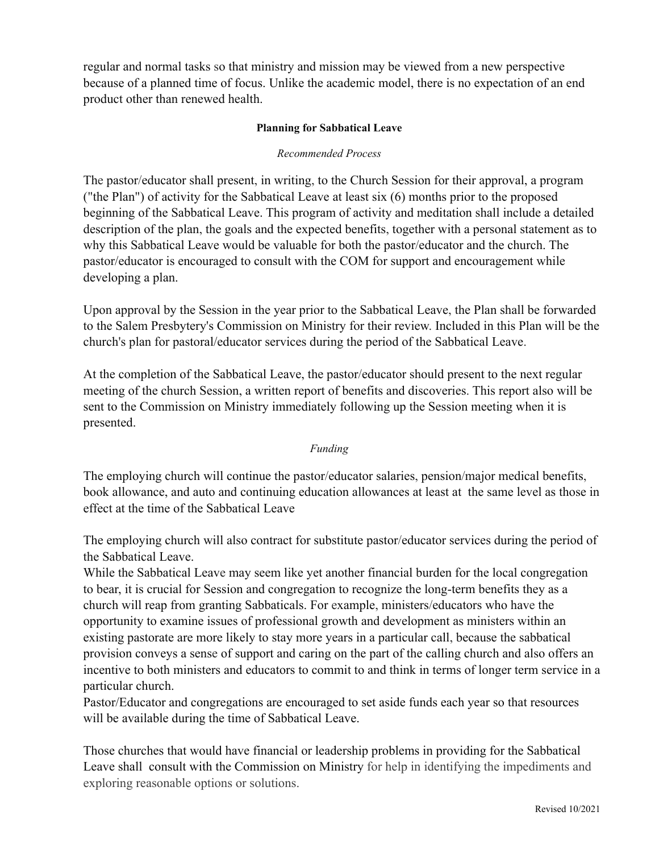regular and normal tasks so that ministry and mission may be viewed from a new perspective because of a planned time of focus. Unlike the academic model, there is no expectation of an end product other than renewed health.

## **Planning for Sabbatical Leave**

## *Recommended Process*

The pastor/educator shall present, in writing, to the Church Session for their approval, a program ("the Plan") of activity for the Sabbatical Leave at least six (6) months prior to the proposed beginning of the Sabbatical Leave. This program of activity and meditation shall include a detailed description of the plan, the goals and the expected benefits, together with a personal statement as to why this Sabbatical Leave would be valuable for both the pastor/educator and the church. The pastor/educator is encouraged to consult with the COM for support and encouragement while developing a plan.

Upon approval by the Session in the year prior to the Sabbatical Leave, the Plan shall be forwarded to the Salem Presbytery's Commission on Ministry for their review. Included in this Plan will be the church's plan for pastoral/educator services during the period of the Sabbatical Leave.

At the completion of the Sabbatical Leave, the pastor/educator should present to the next regular meeting of the church Session, a written report of benefits and discoveries. This report also will be sent to the Commission on Ministry immediately following up the Session meeting when it is presented.

#### *Funding*

The employing church will continue the pastor/educator salaries, pension/major medical benefits, book allowance, and auto and continuing education allowances at least at the same level as those in effect at the time of the Sabbatical Leave

The employing church will also contract for substitute pastor/educator services during the period of the Sabbatical Leave.

While the Sabbatical Leave may seem like yet another financial burden for the local congregation to bear, it is crucial for Session and congregation to recognize the long-term benefits they as a church will reap from granting Sabbaticals. For example, ministers/educators who have the opportunity to examine issues of professional growth and development as ministers within an existing pastorate are more likely to stay more years in a particular call, because the sabbatical provision conveys a sense of support and caring on the part of the calling church and also offers an incentive to both ministers and educators to commit to and think in terms of longer term service in a particular church.

Pastor/Educator and congregations are encouraged to set aside funds each year so that resources will be available during the time of Sabbatical Leave.

Those churches that would have financial or leadership problems in providing for the Sabbatical Leave shall consult with the Commission on Ministry for help in identifying the impediments and exploring reasonable options or solutions.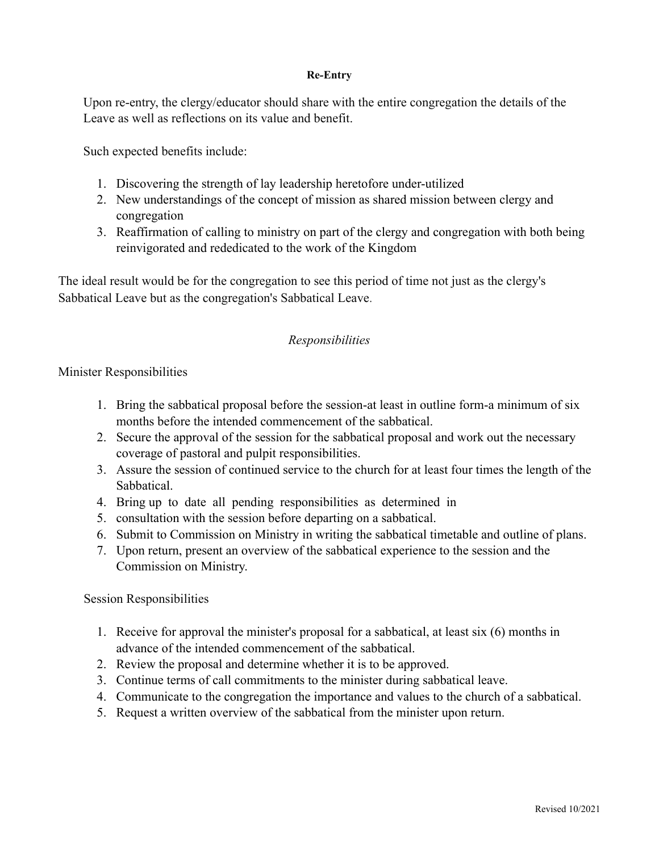## **Re***-***Entry**

Upon re-entry, the clergy/educator should share with the entire congregation the details of the Leave as well as reflections on its value and benefit.

Such expected benefits include:

- 1. Discovering the strength of lay leadership heretofore under-utilized
- 2. New understandings of the concept of mission as shared mission between clergy and congregation
- 3. Reaffirmation of calling to ministry on part of the clergy and congregation with both being reinvigorated and rededicated to the work of the Kingdom

The ideal result would be for the congregation to see this period of time not just as the clergy's Sabbatical Leave but as the congregation's Sabbatical Leave.

# *Responsibilities*

## Minister Responsibilities

- 1. Bring the sabbatical proposal before the session-at least in outline form-a minimum of six months before the intended commencement of the sabbatical.
- 2. Secure the approval of the session for the sabbatical proposal and work out the necessary coverage of pastoral and pulpit responsibilities.
- 3. Assure the session of continued service to the church for at least four times the length of the Sabbatical.
- 4. Bring up to date all pending responsibilities as determined in
- 5. consultation with the session before departing on a sabbatical.
- 6. Submit to Commission on Ministry in writing the sabbatical timetable and outline of plans.
- 7. Upon return, present an overview of the sabbatical experience to the session and the Commission on Ministry.

## Session Responsibilities

- 1. Receive for approval the minister's proposal for a sabbatical, at least six (6) months in advance of the intended commencement of the sabbatical.
- 2. Review the proposal and determine whether it is to be approved.
- 3. Continue terms of call commitments to the minister during sabbatical leave.
- 4. Communicate to the congregation the importance and values to the church of a sabbatical.
- 5. Request a written overview of the sabbatical from the minister upon return.